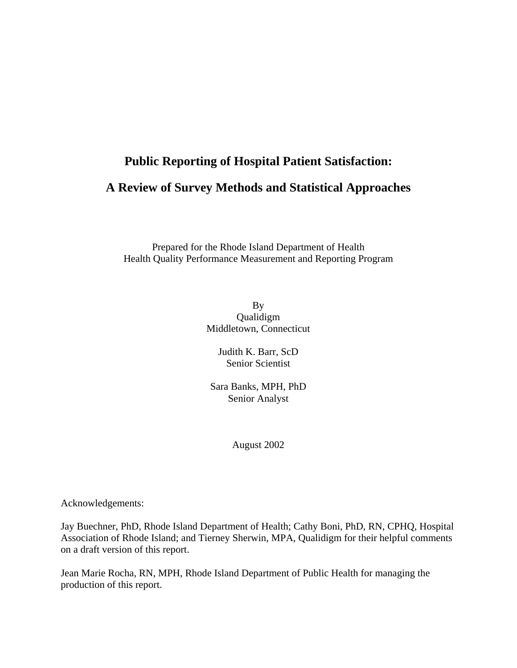# **Public Reporting of Hospital Patient Satisfaction: A Review of Survey Methods and Statistical Approaches**

Prepared for the Rhode Island Department of Health Health Quality Performance Measurement and Reporting Program

> By Qualidigm Middletown, Connecticut

Judith K. Barr, ScD Senior Scientist

Sara Banks, MPH, PhD Senior Analyst

August 2002

Acknowledgements:

Jay Buechner, PhD, Rhode Island Department of Health; Cathy Boni, PhD, RN, CPHQ, Hospital Association of Rhode Island; and Tierney Sherwin, MPA, Qualidigm for their helpful comments on a draft version of this report.

Jean Marie Rocha, RN, MPH, Rhode Island Department of Public Health for managing the production of this report.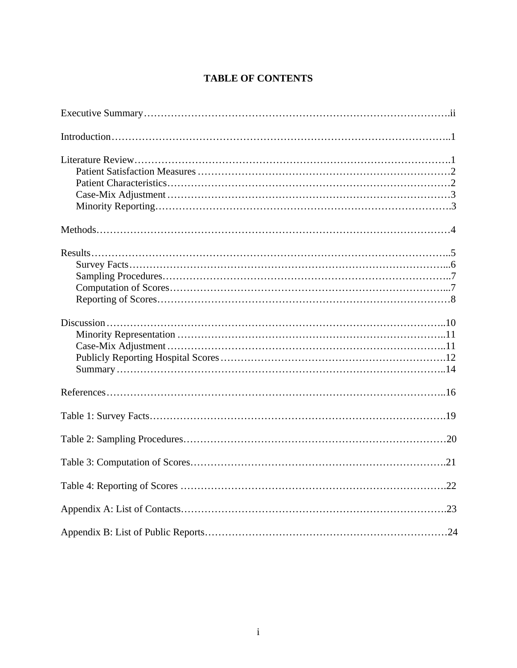# **TABLE OF CONTENTS**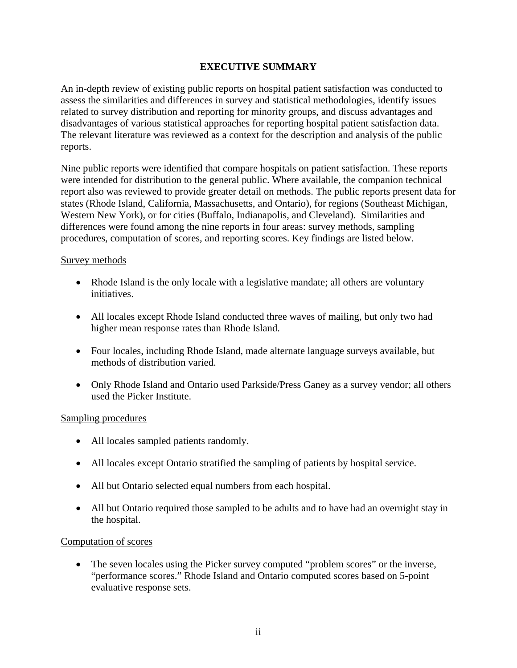# **EXECUTIVE SUMMARY**

An in-depth review of existing public reports on hospital patient satisfaction was conducted to assess the similarities and differences in survey and statistical methodologies, identify issues related to survey distribution and reporting for minority groups, and discuss advantages and disadvantages of various statistical approaches for reporting hospital patient satisfaction data. The relevant literature was reviewed as a context for the description and analysis of the public reports.

Nine public reports were identified that compare hospitals on patient satisfaction. These reports were intended for distribution to the general public. Where available, the companion technical report also was reviewed to provide greater detail on methods. The public reports present data for states (Rhode Island, California, Massachusetts, and Ontario), for regions (Southeast Michigan, Western New York), or for cities (Buffalo, Indianapolis, and Cleveland). Similarities and differences were found among the nine reports in four areas: survey methods, sampling procedures, computation of scores, and reporting scores. Key findings are listed below.

#### Survey methods

- Rhode Island is the only locale with a legislative mandate; all others are voluntary initiatives.
- All locales except Rhode Island conducted three waves of mailing, but only two had higher mean response rates than Rhode Island.
- Four locales, including Rhode Island, made alternate language surveys available, but methods of distribution varied.
- Only Rhode Island and Ontario used Parkside/Press Ganey as a survey vendor; all others used the Picker Institute.

#### Sampling procedures

- All locales sampled patients randomly.
- All locales except Ontario stratified the sampling of patients by hospital service.
- All but Ontario selected equal numbers from each hospital.
- All but Ontario required those sampled to be adults and to have had an overnight stay in the hospital.

#### Computation of scores

• The seven locales using the Picker survey computed "problem scores" or the inverse, "performance scores." Rhode Island and Ontario computed scores based on 5-point evaluative response sets.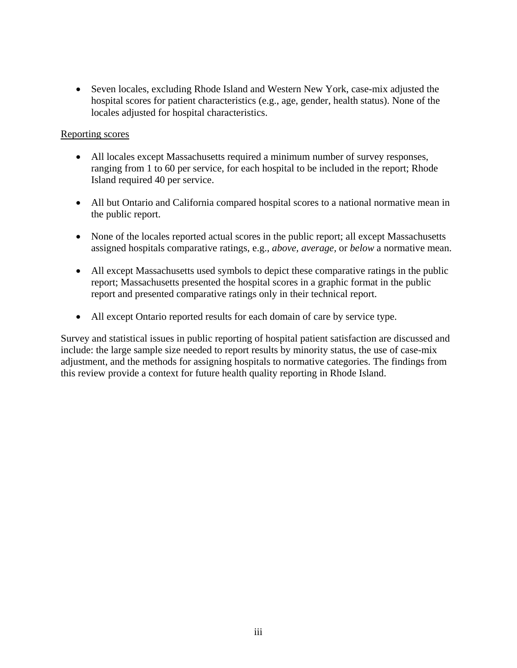• Seven locales, excluding Rhode Island and Western New York, case-mix adjusted the hospital scores for patient characteristics (e.g., age, gender, health status). None of the locales adjusted for hospital characteristics.

## Reporting scores

- All locales except Massachusetts required a minimum number of survey responses, ranging from 1 to 60 per service, for each hospital to be included in the report; Rhode Island required 40 per service.
- All but Ontario and California compared hospital scores to a national normative mean in the public report.
- None of the locales reported actual scores in the public report; all except Massachusetts assigned hospitals comparative ratings, e.g., *above, average,* or *below* a normative mean.
- All except Massachusetts used symbols to depict these comparative ratings in the public report; Massachusetts presented the hospital scores in a graphic format in the public report and presented comparative ratings only in their technical report.
- All except Ontario reported results for each domain of care by service type.

Survey and statistical issues in public reporting of hospital patient satisfaction are discussed and include: the large sample size needed to report results by minority status, the use of case-mix adjustment, and the methods for assigning hospitals to normative categories. The findings from this review provide a context for future health quality reporting in Rhode Island.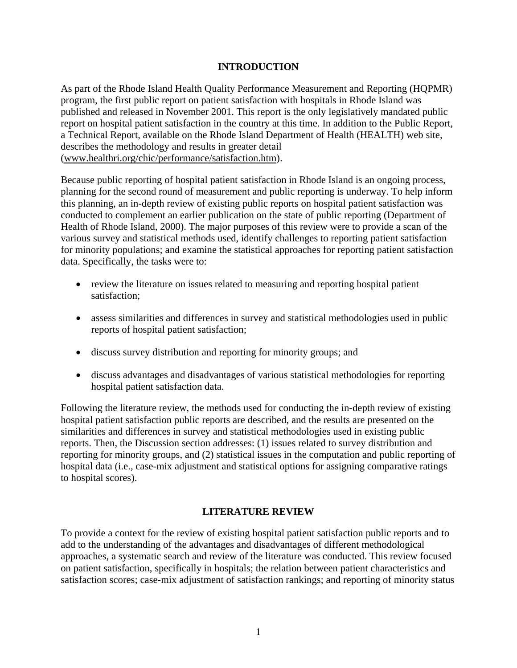# **INTRODUCTION**

As part of the Rhode Island Health Quality Performance Measurement and Reporting (HQPMR) program, the first public report on patient satisfaction with hospitals in Rhode Island was published and released in November 2001. This report is the only legislatively mandated public report on hospital patient satisfaction in the country at this time. In addition to the Public Report, a Technical Report, available on the Rhode Island Department of Health (HEALTH) web site, describes the methodology and results in greater detail (www.healthri.org/chic/performance/satisfaction.htm).

Because public reporting of hospital patient satisfaction in Rhode Island is an ongoing process, planning for the second round of measurement and public reporting is underway. To help inform this planning, an in-depth review of existing public reports on hospital patient satisfaction was conducted to complement an earlier publication on the state of public reporting (Department of Health of Rhode Island, 2000). The major purposes of this review were to provide a scan of the various survey and statistical methods used, identify challenges to reporting patient satisfaction for minority populations; and examine the statistical approaches for reporting patient satisfaction data. Specifically, the tasks were to:

- review the literature on issues related to measuring and reporting hospital patient satisfaction;
- assess similarities and differences in survey and statistical methodologies used in public reports of hospital patient satisfaction;
- discuss survey distribution and reporting for minority groups; and
- discuss advantages and disadvantages of various statistical methodologies for reporting hospital patient satisfaction data.

Following the literature review, the methods used for conducting the in-depth review of existing hospital patient satisfaction public reports are described, and the results are presented on the similarities and differences in survey and statistical methodologies used in existing public reports. Then, the Discussion section addresses: (1) issues related to survey distribution and reporting for minority groups, and (2) statistical issues in the computation and public reporting of hospital data (i.e., case-mix adjustment and statistical options for assigning comparative ratings to hospital scores).

#### **LITERATURE REVIEW**

To provide a context for the review of existing hospital patient satisfaction public reports and to add to the understanding of the advantages and disadvantages of different methodological approaches, a systematic search and review of the literature was conducted. This review focused on patient satisfaction, specifically in hospitals; the relation between patient characteristics and satisfaction scores; case-mix adjustment of satisfaction rankings; and reporting of minority status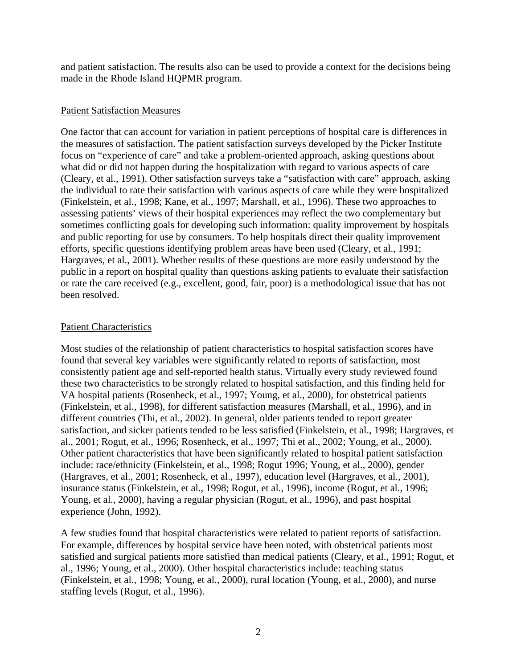and patient satisfaction. The results also can be used to provide a context for the decisions being made in the Rhode Island HQPMR program.

#### Patient Satisfaction Measures

One factor that can account for variation in patient perceptions of hospital care is differences in the measures of satisfaction. The patient satisfaction surveys developed by the Picker Institute focus on "experience of care" and take a problem-oriented approach, asking questions about what did or did not happen during the hospitalization with regard to various aspects of care (Cleary, et al., 1991). Other satisfaction surveys take a "satisfaction with care" approach, asking the individual to rate their satisfaction with various aspects of care while they were hospitalized (Finkelstein, et al., 1998; Kane, et al., 1997; Marshall, et al., 1996). These two approaches to assessing patients' views of their hospital experiences may reflect the two complementary but sometimes conflicting goals for developing such information: quality improvement by hospitals and public reporting for use by consumers. To help hospitals direct their quality improvement efforts, specific questions identifying problem areas have been used (Cleary, et al., 1991; Hargraves, et al., 2001). Whether results of these questions are more easily understood by the public in a report on hospital quality than questions asking patients to evaluate their satisfaction or rate the care received (e.g., excellent, good, fair, poor) is a methodological issue that has not been resolved.

## Patient Characteristics

Most studies of the relationship of patient characteristics to hospital satisfaction scores have found that several key variables were significantly related to reports of satisfaction, most consistently patient age and self-reported health status. Virtually every study reviewed found these two characteristics to be strongly related to hospital satisfaction, and this finding held for VA hospital patients (Rosenheck, et al., 1997; Young, et al., 2000), for obstetrical patients (Finkelstein, et al., 1998), for different satisfaction measures (Marshall, et al., 1996), and in different countries (Thi, et al., 2002). In general, older patients tended to report greater satisfaction, and sicker patients tended to be less satisfied (Finkelstein, et al., 1998; Hargraves, et al., 2001; Rogut, et al., 1996; Rosenheck, et al., 1997; Thi et al., 2002; Young, et al., 2000). Other patient characteristics that have been significantly related to hospital patient satisfaction include: race/ethnicity (Finkelstein, et al., 1998; Rogut 1996; Young, et al., 2000), gender (Hargraves, et al., 2001; Rosenheck, et al., 1997), education level (Hargraves, et al., 2001), insurance status (Finkelstein, et al., 1998; Rogut, et al., 1996), income (Rogut, et al., 1996; Young, et al., 2000), having a regular physician (Rogut, et al., 1996), and past hospital experience (John, 1992).

A few studies found that hospital characteristics were related to patient reports of satisfaction. For example, differences by hospital service have been noted, with obstetrical patients most satisfied and surgical patients more satisfied than medical patients (Cleary, et al., 1991; Rogut, et al., 1996; Young, et al., 2000). Other hospital characteristics include: teaching status (Finkelstein, et al., 1998; Young, et al., 2000), rural location (Young, et al., 2000), and nurse staffing levels (Rogut, et al., 1996).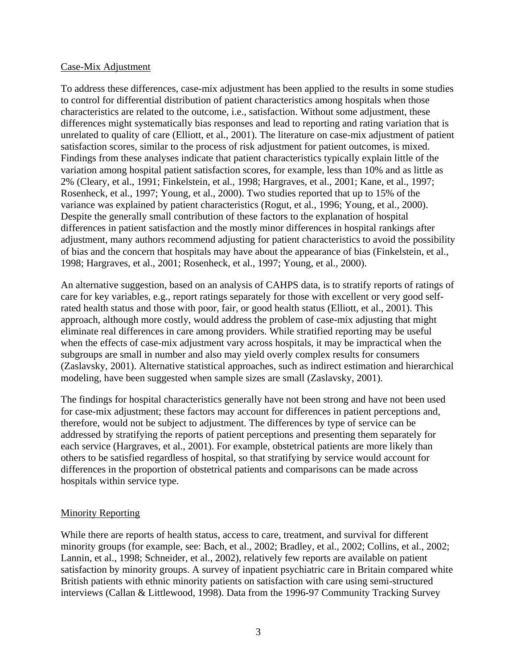#### Case-Mix Adjustment

To address these differences, case-mix adjustment has been applied to the results in some studies to control for differential distribution of patient characteristics among hospitals when those characteristics are related to the outcome, i.e., satisfaction. Without some adjustment, these differences might systematically bias responses and lead to reporting and rating variation that is unrelated to quality of care (Elliott, et al., 2001). The literature on case-mix adjustment of patient satisfaction scores, similar to the process of risk adjustment for patient outcomes, is mixed. Findings from these analyses indicate that patient characteristics typically explain little of the variation among hospital patient satisfaction scores, for example, less than 10% and as little as 2% (Cleary, et al., 1991; Finkelstein, et al., 1998; Hargraves, et al., 2001; Kane, et al., 1997; Rosenheck, et al., 1997; Young, et al., 2000). Two studies reported that up to 15% of the variance was explained by patient characteristics (Rogut, et al., 1996; Young, et al., 2000). Despite the generally small contribution of these factors to the explanation of hospital differences in patient satisfaction and the mostly minor differences in hospital rankings after adjustment, many authors recommend adjusting for patient characteristics to avoid the possibility of bias and the concern that hospitals may have about the appearance of bias (Finkelstein, et al., 1998; Hargraves, et al., 2001; Rosenheck, et al., 1997; Young, et al., 2000).

An alternative suggestion, based on an analysis of CAHPS data, is to stratify reports of ratings of care for key variables, e.g., report ratings separately for those with excellent or very good selfrated health status and those with poor, fair, or good health status (Elliott, et al., 2001). This approach, although more costly, would address the problem of case-mix adjusting that might eliminate real differences in care among providers. While stratified reporting may be useful when the effects of case-mix adjustment vary across hospitals, it may be impractical when the subgroups are small in number and also may yield overly complex results for consumers (Zaslavsky, 2001). Alternative statistical approaches, such as indirect estimation and hierarchical modeling, have been suggested when sample sizes are small (Zaslavsky, 2001).

The findings for hospital characteristics generally have not been strong and have not been used for case-mix adjustment; these factors may account for differences in patient perceptions and, therefore, would not be subject to adjustment. The differences by type of service can be addressed by stratifying the reports of patient perceptions and presenting them separately for each service (Hargraves, et al., 2001). For example, obstetrical patients are more likely than others to be satisfied regardless of hospital, so that stratifying by service would account for differences in the proportion of obstetrical patients and comparisons can be made across hospitals within service type.

#### Minority Reporting

While there are reports of health status, access to care, treatment, and survival for different minority groups (for example, see: Bach, et al., 2002; Bradley, et al., 2002; Collins, et al., 2002; Lannin, et al., 1998; Schneider, et al., 2002), relatively few reports are available on patient satisfaction by minority groups. A survey of inpatient psychiatric care in Britain compared white British patients with ethnic minority patients on satisfaction with care using semi-structured interviews (Callan & Littlewood, 1998). Data from the 1996-97 Community Tracking Survey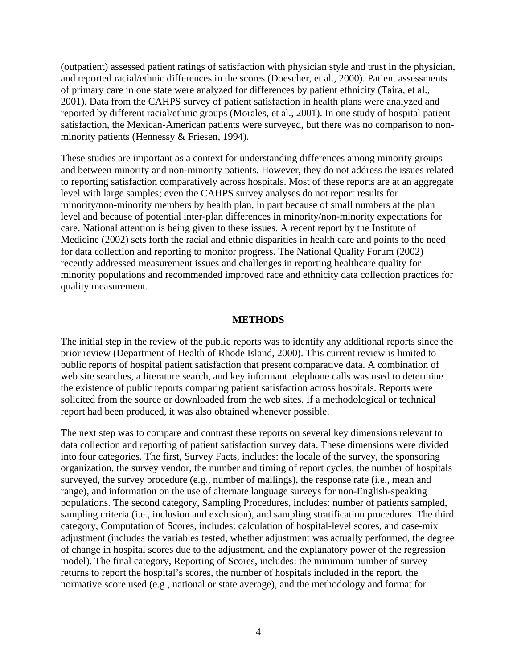(outpatient) assessed patient ratings of satisfaction with physician style and trust in the physician, and reported racial/ethnic differences in the scores (Doescher, et al., 2000). Patient assessments of primary care in one state were analyzed for differences by patient ethnicity (Taira, et al., 2001). Data from the CAHPS survey of patient satisfaction in health plans were analyzed and reported by different racial/ethnic groups (Morales, et al., 2001). In one study of hospital patient satisfaction, the Mexican-American patients were surveyed, but there was no comparison to nonminority patients (Hennessy & Friesen, 1994).

These studies are important as a context for understanding differences among minority groups and between minority and non-minority patients. However, they do not address the issues related to reporting satisfaction comparatively across hospitals. Most of these reports are at an aggregate level with large samples; even the CAHPS survey analyses do not report results for minority/non-minority members by health plan, in part because of small numbers at the plan level and because of potential inter-plan differences in minority/non-minority expectations for care. National attention is being given to these issues. A recent report by the Institute of Medicine (2002) sets forth the racial and ethnic disparities in health care and points to the need for data collection and reporting to monitor progress. The National Quality Forum (2002) recently addressed measurement issues and challenges in reporting healthcare quality for minority populations and recommended improved race and ethnicity data collection practices for quality measurement.

#### **METHODS**

The initial step in the review of the public reports was to identify any additional reports since the prior review (Department of Health of Rhode Island, 2000). This current review is limited to public reports of hospital patient satisfaction that present comparative data. A combination of web site searches, a literature search, and key informant telephone calls was used to determine the existence of public reports comparing patient satisfaction across hospitals. Reports were solicited from the source or downloaded from the web sites. If a methodological or technical report had been produced, it was also obtained whenever possible.

The next step was to compare and contrast these reports on several key dimensions relevant to data collection and reporting of patient satisfaction survey data. These dimensions were divided into four categories. The first, Survey Facts, includes: the locale of the survey, the sponsoring organization, the survey vendor, the number and timing of report cycles, the number of hospitals surveyed, the survey procedure (e.g., number of mailings), the response rate (i.e., mean and range), and information on the use of alternate language surveys for non-English-speaking populations. The second category, Sampling Procedures, includes: number of patients sampled, sampling criteria (i.e., inclusion and exclusion), and sampling stratification procedures. The third category, Computation of Scores, includes: calculation of hospital-level scores, and case-mix adjustment (includes the variables tested, whether adjustment was actually performed, the degree of change in hospital scores due to the adjustment, and the explanatory power of the regression model). The final category, Reporting of Scores, includes: the minimum number of survey returns to report the hospital's scores, the number of hospitals included in the report, the normative score used (e.g., national or state average), and the methodology and format for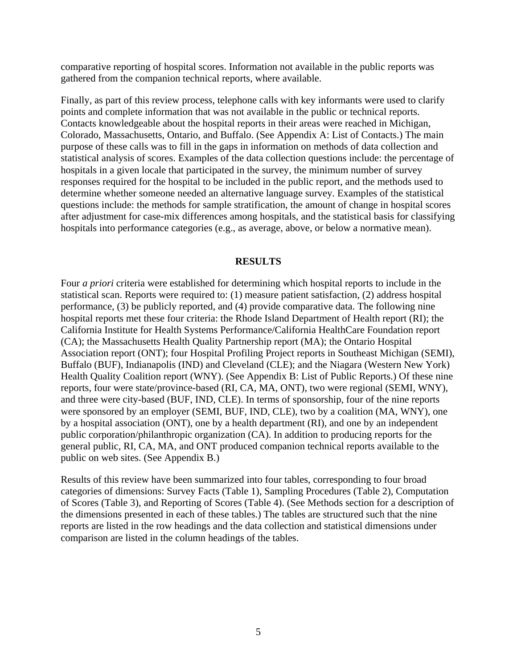comparative reporting of hospital scores. Information not available in the public reports was gathered from the companion technical reports, where available.

Finally, as part of this review process, telephone calls with key informants were used to clarify points and complete information that was not available in the public or technical reports. Contacts knowledgeable about the hospital reports in their areas were reached in Michigan, Colorado, Massachusetts, Ontario, and Buffalo. (See Appendix A: List of Contacts.) The main purpose of these calls was to fill in the gaps in information on methods of data collection and statistical analysis of scores. Examples of the data collection questions include: the percentage of hospitals in a given locale that participated in the survey, the minimum number of survey responses required for the hospital to be included in the public report, and the methods used to determine whether someone needed an alternative language survey. Examples of the statistical questions include: the methods for sample stratification, the amount of change in hospital scores after adjustment for case-mix differences among hospitals, and the statistical basis for classifying hospitals into performance categories (e.g., as average, above, or below a normative mean).

#### **RESULTS**

Four *a priori* criteria were established for determining which hospital reports to include in the statistical scan. Reports were required to: (1) measure patient satisfaction, (2) address hospital performance, (3) be publicly reported, and (4) provide comparative data. The following nine hospital reports met these four criteria: the Rhode Island Department of Health report (RI); the California Institute for Health Systems Performance/California HealthCare Foundation report (CA); the Massachusetts Health Quality Partnership report (MA); the Ontario Hospital Association report (ONT); four Hospital Profiling Project reports in Southeast Michigan (SEMI), Buffalo (BUF), Indianapolis (IND) and Cleveland (CLE); and the Niagara (Western New York) Health Quality Coalition report (WNY). (See Appendix B: List of Public Reports.) Of these nine reports, four were state/province-based (RI, CA, MA, ONT), two were regional (SEMI, WNY), and three were city-based (BUF, IND, CLE). In terms of sponsorship, four of the nine reports were sponsored by an employer (SEMI, BUF, IND, CLE), two by a coalition (MA, WNY), one by a hospital association (ONT), one by a health department (RI), and one by an independent public corporation/philanthropic organization (CA). In addition to producing reports for the general public, RI, CA, MA, and ONT produced companion technical reports available to the public on web sites. (See Appendix B.)

Results of this review have been summarized into four tables, corresponding to four broad categories of dimensions: Survey Facts (Table 1), Sampling Procedures (Table 2), Computation of Scores (Table 3), and Reporting of Scores (Table 4). (See Methods section for a description of the dimensions presented in each of these tables.) The tables are structured such that the nine reports are listed in the row headings and the data collection and statistical dimensions under comparison are listed in the column headings of the tables.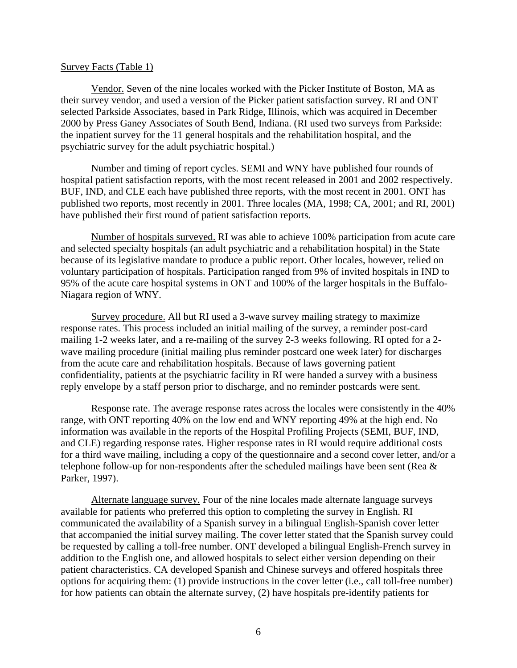#### Survey Facts (Table 1)

Vendor. Seven of the nine locales worked with the Picker Institute of Boston, MA as their survey vendor, and used a version of the Picker patient satisfaction survey. RI and ONT selected Parkside Associates, based in Park Ridge, Illinois, which was acquired in December 2000 by Press Ganey Associates of South Bend, Indiana. (RI used two surveys from Parkside: the inpatient survey for the 11 general hospitals and the rehabilitation hospital, and the psychiatric survey for the adult psychiatric hospital.)

Number and timing of report cycles. SEMI and WNY have published four rounds of hospital patient satisfaction reports, with the most recent released in 2001 and 2002 respectively. BUF, IND, and CLE each have published three reports, with the most recent in 2001. ONT has published two reports, most recently in 2001. Three locales (MA, 1998; CA, 2001; and RI, 2001) have published their first round of patient satisfaction reports.

Number of hospitals surveyed. RI was able to achieve 100% participation from acute care and selected specialty hospitals (an adult psychiatric and a rehabilitation hospital) in the State because of its legislative mandate to produce a public report. Other locales, however, relied on voluntary participation of hospitals. Participation ranged from 9% of invited hospitals in IND to 95% of the acute care hospital systems in ONT and 100% of the larger hospitals in the Buffalo-Niagara region of WNY.

Survey procedure. All but RI used a 3-wave survey mailing strategy to maximize response rates. This process included an initial mailing of the survey, a reminder post-card mailing 1-2 weeks later, and a re-mailing of the survey 2-3 weeks following. RI opted for a 2 wave mailing procedure (initial mailing plus reminder postcard one week later) for discharges from the acute care and rehabilitation hospitals. Because of laws governing patient confidentiality, patients at the psychiatric facility in RI were handed a survey with a business reply envelope by a staff person prior to discharge, and no reminder postcards were sent.

Response rate. The average response rates across the locales were consistently in the 40% range, with ONT reporting 40% on the low end and WNY reporting 49% at the high end. No information was available in the reports of the Hospital Profiling Projects (SEMI, BUF, IND, and CLE) regarding response rates. Higher response rates in RI would require additional costs for a third wave mailing, including a copy of the questionnaire and a second cover letter, and/or a telephone follow-up for non-respondents after the scheduled mailings have been sent (Rea & Parker, 1997).

Alternate language survey. Four of the nine locales made alternate language surveys available for patients who preferred this option to completing the survey in English. RI communicated the availability of a Spanish survey in a bilingual English-Spanish cover letter that accompanied the initial survey mailing. The cover letter stated that the Spanish survey could be requested by calling a toll-free number. ONT developed a bilingual English-French survey in addition to the English one, and allowed hospitals to select either version depending on their patient characteristics. CA developed Spanish and Chinese surveys and offered hospitals three options for acquiring them: (1) provide instructions in the cover letter (i.e., call toll-free number) for how patients can obtain the alternate survey, (2) have hospitals pre-identify patients for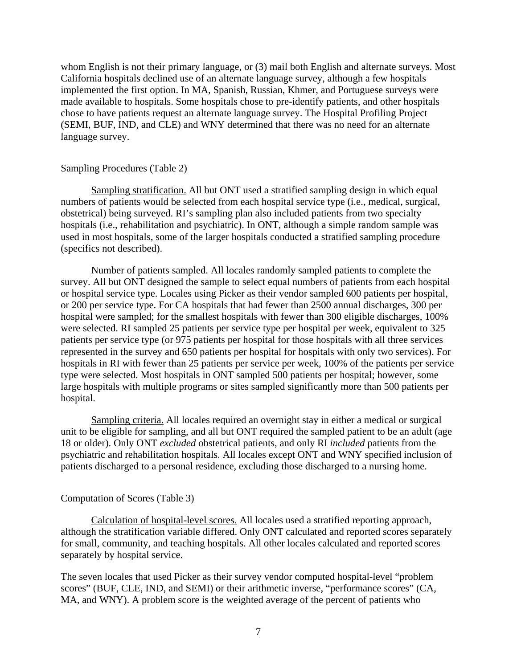whom English is not their primary language, or (3) mail both English and alternate surveys. Most California hospitals declined use of an alternate language survey, although a few hospitals implemented the first option. In MA, Spanish, Russian, Khmer, and Portuguese surveys were made available to hospitals. Some hospitals chose to pre-identify patients, and other hospitals chose to have patients request an alternate language survey. The Hospital Profiling Project (SEMI, BUF, IND, and CLE) and WNY determined that there was no need for an alternate language survey.

#### Sampling Procedures (Table 2)

Sampling stratification. All but ONT used a stratified sampling design in which equal numbers of patients would be selected from each hospital service type (i.e., medical, surgical, obstetrical) being surveyed. RI's sampling plan also included patients from two specialty hospitals (i.e., rehabilitation and psychiatric). In ONT, although a simple random sample was used in most hospitals, some of the larger hospitals conducted a stratified sampling procedure (specifics not described).

Number of patients sampled. All locales randomly sampled patients to complete the survey. All but ONT designed the sample to select equal numbers of patients from each hospital or hospital service type. Locales using Picker as their vendor sampled 600 patients per hospital, or 200 per service type. For CA hospitals that had fewer than 2500 annual discharges, 300 per hospital were sampled; for the smallest hospitals with fewer than 300 eligible discharges, 100% were selected. RI sampled 25 patients per service type per hospital per week, equivalent to 325 patients per service type (or 975 patients per hospital for those hospitals with all three services represented in the survey and 650 patients per hospital for hospitals with only two services). For hospitals in RI with fewer than 25 patients per service per week, 100% of the patients per service type were selected. Most hospitals in ONT sampled 500 patients per hospital; however, some large hospitals with multiple programs or sites sampled significantly more than 500 patients per hospital.

Sampling criteria. All locales required an overnight stay in either a medical or surgical unit to be eligible for sampling, and all but ONT required the sampled patient to be an adult (age 18 or older). Only ONT *excluded* obstetrical patients, and only RI *included* patients from the psychiatric and rehabilitation hospitals. All locales except ONT and WNY specified inclusion of patients discharged to a personal residence, excluding those discharged to a nursing home.

# Computation of Scores (Table 3)

Calculation of hospital-level scores. All locales used a stratified reporting approach, although the stratification variable differed. Only ONT calculated and reported scores separately for small, community, and teaching hospitals. All other locales calculated and reported scores separately by hospital service.

The seven locales that used Picker as their survey vendor computed hospital-level "problem scores" (BUF, CLE, IND, and SEMI) or their arithmetic inverse, "performance scores" (CA, MA, and WNY). A problem score is the weighted average of the percent of patients who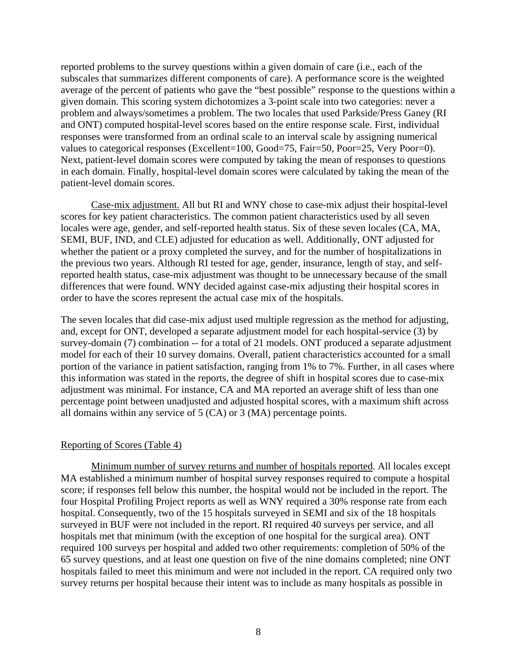reported problems to the survey questions within a given domain of care (i.e., each of the subscales that summarizes different components of care). A performance score is the weighted average of the percent of patients who gave the "best possible" response to the questions within a given domain. This scoring system dichotomizes a 3-point scale into two categories: never a problem and always/sometimes a problem. The two locales that used Parkside/Press Ganey (RI and ONT) computed hospital-level scores based on the entire response scale. First, individual responses were transformed from an ordinal scale to an interval scale by assigning numerical values to categorical responses (Excellent=100, Good=75, Fair=50, Poor=25, Very Poor=0). Next, patient-level domain scores were computed by taking the mean of responses to questions in each domain. Finally, hospital-level domain scores were calculated by taking the mean of the patient-level domain scores.

Case-mix adjustment. All but RI and WNY chose to case-mix adjust their hospital-level scores for key patient characteristics. The common patient characteristics used by all seven locales were age, gender, and self-reported health status. Six of these seven locales (CA, MA, SEMI, BUF, IND, and CLE) adjusted for education as well. Additionally, ONT adjusted for whether the patient or a proxy completed the survey, and for the number of hospitalizations in the previous two years. Although RI tested for age, gender, insurance, length of stay, and selfreported health status, case-mix adjustment was thought to be unnecessary because of the small differences that were found. WNY decided against case-mix adjusting their hospital scores in order to have the scores represent the actual case mix of the hospitals.

The seven locales that did case-mix adjust used multiple regression as the method for adjusting, and, except for ONT, developed a separate adjustment model for each hospital-service (3) by survey-domain (7) combination -- for a total of 21 models. ONT produced a separate adjustment model for each of their 10 survey domains. Overall, patient characteristics accounted for a small portion of the variance in patient satisfaction, ranging from 1% to 7%. Further, in all cases where this information was stated in the reports, the degree of shift in hospital scores due to case-mix adjustment was minimal. For instance, CA and MA reported an average shift of less than one percentage point between unadjusted and adjusted hospital scores, with a maximum shift across all domains within any service of 5 (CA) or 3 (MA) percentage points.

#### Reporting of Scores (Table 4)

Minimum number of survey returns and number of hospitals reported. All locales except MA established a minimum number of hospital survey responses required to compute a hospital score; if responses fell below this number, the hospital would not be included in the report. The four Hospital Profiling Project reports as well as WNY required a 30% response rate from each hospital. Consequently, two of the 15 hospitals surveyed in SEMI and six of the 18 hospitals surveyed in BUF were not included in the report. RI required 40 surveys per service, and all hospitals met that minimum (with the exception of one hospital for the surgical area). ONT required 100 surveys per hospital and added two other requirements: completion of 50% of the 65 survey questions, and at least one question on five of the nine domains completed; nine ONT hospitals failed to meet this minimum and were not included in the report. CA required only two survey returns per hospital because their intent was to include as many hospitals as possible in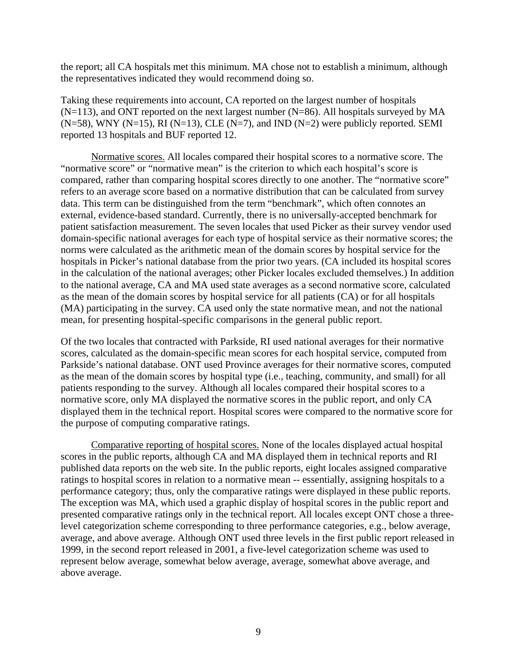the report; all CA hospitals met this minimum. MA chose not to establish a minimum, although the representatives indicated they would recommend doing so.

Taking these requirements into account, CA reported on the largest number of hospitals  $(N=113)$ , and ONT reported on the next largest number  $(N=86)$ . All hospitals surveyed by MA  $(N=58)$ , WNY  $(N=15)$ , RI  $(N=13)$ , CLE  $(N=7)$ , and IND  $(N=2)$  were publicly reported. SEMI reported 13 hospitals and BUF reported 12.

Normative scores. All locales compared their hospital scores to a normative score. The "normative score" or "normative mean" is the criterion to which each hospital's score is compared, rather than comparing hospital scores directly to one another. The "normative score" refers to an average score based on a normative distribution that can be calculated from survey data. This term can be distinguished from the term "benchmark", which often connotes an external, evidence-based standard. Currently, there is no universally-accepted benchmark for patient satisfaction measurement. The seven locales that used Picker as their survey vendor used domain-specific national averages for each type of hospital service as their normative scores; the norms were calculated as the arithmetic mean of the domain scores by hospital service for the hospitals in Picker's national database from the prior two years. (CA included its hospital scores in the calculation of the national averages; other Picker locales excluded themselves.) In addition to the national average, CA and MA used state averages as a second normative score, calculated as the mean of the domain scores by hospital service for all patients (CA) or for all hospitals (MA) participating in the survey. CA used only the state normative mean, and not the national mean, for presenting hospital-specific comparisons in the general public report.

Of the two locales that contracted with Parkside, RI used national averages for their normative scores, calculated as the domain-specific mean scores for each hospital service, computed from Parkside's national database. ONT used Province averages for their normative scores, computed as the mean of the domain scores by hospital type (i.e., teaching, community, and small) for all patients responding to the survey. Although all locales compared their hospital scores to a normative score, only MA displayed the normative scores in the public report, and only CA displayed them in the technical report. Hospital scores were compared to the normative score for the purpose of computing comparative ratings.

Comparative reporting of hospital scores. None of the locales displayed actual hospital scores in the public reports, although CA and MA displayed them in technical reports and RI published data reports on the web site. In the public reports, eight locales assigned comparative ratings to hospital scores in relation to a normative mean -- essentially, assigning hospitals to a performance category; thus, only the comparative ratings were displayed in these public reports. The exception was MA, which used a graphic display of hospital scores in the public report and presented comparative ratings only in the technical report. All locales except ONT chose a threelevel categorization scheme corresponding to three performance categories, e.g., below average, average, and above average. Although ONT used three levels in the first public report released in 1999, in the second report released in 2001, a five-level categorization scheme was used to represent below average, somewhat below average, average, somewhat above average, and above average.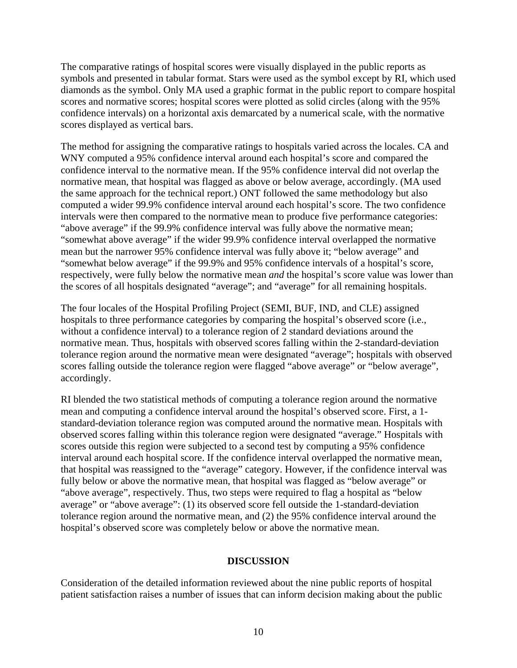The comparative ratings of hospital scores were visually displayed in the public reports as symbols and presented in tabular format. Stars were used as the symbol except by RI, which used diamonds as the symbol. Only MA used a graphic format in the public report to compare hospital scores and normative scores; hospital scores were plotted as solid circles (along with the 95% confidence intervals) on a horizontal axis demarcated by a numerical scale, with the normative scores displayed as vertical bars.

The method for assigning the comparative ratings to hospitals varied across the locales. CA and WNY computed a 95% confidence interval around each hospital's score and compared the confidence interval to the normative mean. If the 95% confidence interval did not overlap the normative mean, that hospital was flagged as above or below average, accordingly. (MA used the same approach for the technical report.) ONT followed the same methodology but also computed a wider 99.9% confidence interval around each hospital's score. The two confidence intervals were then compared to the normative mean to produce five performance categories: "above average" if the 99.9% confidence interval was fully above the normative mean; "somewhat above average" if the wider 99.9% confidence interval overlapped the normative mean but the narrower 95% confidence interval was fully above it; "below average" and "somewhat below average" if the 99.9% and 95% confidence intervals of a hospital's score, respectively, were fully below the normative mean *and* the hospital's score value was lower than the scores of all hospitals designated "average"; and "average" for all remaining hospitals.

The four locales of the Hospital Profiling Project (SEMI, BUF, IND, and CLE) assigned hospitals to three performance categories by comparing the hospital's observed score (i.e., without a confidence interval) to a tolerance region of 2 standard deviations around the normative mean. Thus, hospitals with observed scores falling within the 2-standard-deviation tolerance region around the normative mean were designated "average"; hospitals with observed scores falling outside the tolerance region were flagged "above average" or "below average", accordingly.

RI blended the two statistical methods of computing a tolerance region around the normative mean and computing a confidence interval around the hospital's observed score. First, a 1 standard-deviation tolerance region was computed around the normative mean. Hospitals with observed scores falling within this tolerance region were designated "average." Hospitals with scores outside this region were subjected to a second test by computing a 95% confidence interval around each hospital score. If the confidence interval overlapped the normative mean, that hospital was reassigned to the "average" category. However, if the confidence interval was fully below or above the normative mean, that hospital was flagged as "below average" or "above average", respectively. Thus, two steps were required to flag a hospital as "below average" or "above average": (1) its observed score fell outside the 1-standard-deviation tolerance region around the normative mean, and (2) the 95% confidence interval around the hospital's observed score was completely below or above the normative mean.

#### **DISCUSSION**

Consideration of the detailed information reviewed about the nine public reports of hospital patient satisfaction raises a number of issues that can inform decision making about the public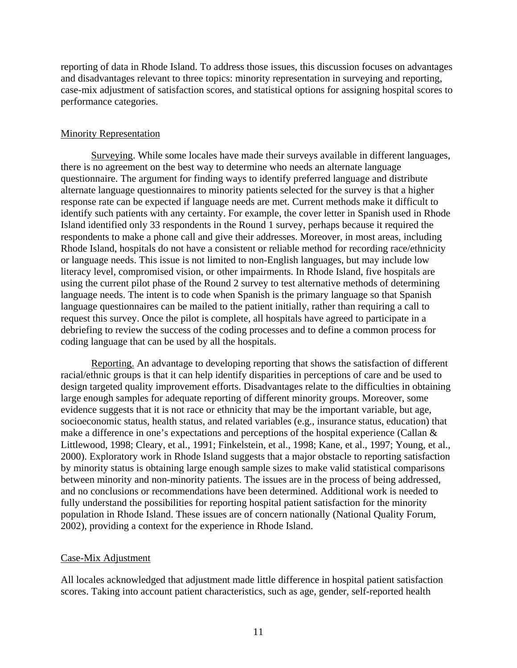reporting of data in Rhode Island. To address those issues, this discussion focuses on advantages and disadvantages relevant to three topics: minority representation in surveying and reporting, case-mix adjustment of satisfaction scores, and statistical options for assigning hospital scores to performance categories.

#### Minority Representation

Surveying. While some locales have made their surveys available in different languages, there is no agreement on the best way to determine who needs an alternate language questionnaire. The argument for finding ways to identify preferred language and distribute alternate language questionnaires to minority patients selected for the survey is that a higher response rate can be expected if language needs are met. Current methods make it difficult to identify such patients with any certainty. For example, the cover letter in Spanish used in Rhode Island identified only 33 respondents in the Round 1 survey, perhaps because it required the respondents to make a phone call and give their addresses. Moreover, in most areas, including Rhode Island, hospitals do not have a consistent or reliable method for recording race/ethnicity or language needs. This issue is not limited to non-English languages, but may include low literacy level, compromised vision, or other impairments. In Rhode Island, five hospitals are using the current pilot phase of the Round 2 survey to test alternative methods of determining language needs. The intent is to code when Spanish is the primary language so that Spanish language questionnaires can be mailed to the patient initially, rather than requiring a call to request this survey. Once the pilot is complete, all hospitals have agreed to participate in a debriefing to review the success of the coding processes and to define a common process for coding language that can be used by all the hospitals.

Reporting. An advantage to developing reporting that shows the satisfaction of different racial/ethnic groups is that it can help identify disparities in perceptions of care and be used to design targeted quality improvement efforts. Disadvantages relate to the difficulties in obtaining large enough samples for adequate reporting of different minority groups. Moreover, some evidence suggests that it is not race or ethnicity that may be the important variable, but age, socioeconomic status, health status, and related variables (e.g., insurance status, education) that make a difference in one's expectations and perceptions of the hospital experience (Callan & Littlewood, 1998; Cleary, et al., 1991; Finkelstein, et al., 1998; Kane, et al., 1997; Young, et al., 2000). Exploratory work in Rhode Island suggests that a major obstacle to reporting satisfaction by minority status is obtaining large enough sample sizes to make valid statistical comparisons between minority and non-minority patients. The issues are in the process of being addressed, and no conclusions or recommendations have been determined. Additional work is needed to fully understand the possibilities for reporting hospital patient satisfaction for the minority population in Rhode Island. These issues are of concern nationally (National Quality Forum, 2002), providing a context for the experience in Rhode Island.

#### Case-Mix Adjustment

All locales acknowledged that adjustment made little difference in hospital patient satisfaction scores. Taking into account patient characteristics, such as age, gender, self-reported health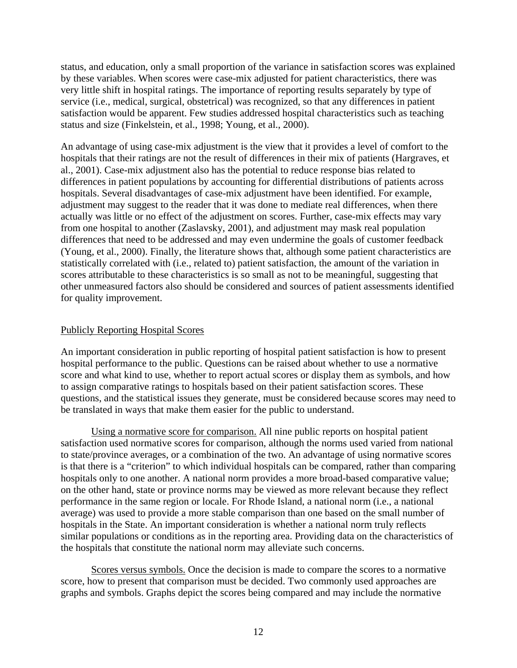status, and education, only a small proportion of the variance in satisfaction scores was explained by these variables. When scores were case-mix adjusted for patient characteristics, there was very little shift in hospital ratings. The importance of reporting results separately by type of service (i.e., medical, surgical, obstetrical) was recognized, so that any differences in patient satisfaction would be apparent. Few studies addressed hospital characteristics such as teaching status and size (Finkelstein, et al., 1998; Young, et al., 2000).

An advantage of using case-mix adjustment is the view that it provides a level of comfort to the hospitals that their ratings are not the result of differences in their mix of patients (Hargraves, et al., 2001). Case-mix adjustment also has the potential to reduce response bias related to differences in patient populations by accounting for differential distributions of patients across hospitals. Several disadvantages of case-mix adjustment have been identified. For example, adjustment may suggest to the reader that it was done to mediate real differences, when there actually was little or no effect of the adjustment on scores. Further, case-mix effects may vary from one hospital to another (Zaslavsky, 2001), and adjustment may mask real population differences that need to be addressed and may even undermine the goals of customer feedback (Young, et al., 2000). Finally, the literature shows that, although some patient characteristics are statistically correlated with (i.e., related to) patient satisfaction, the amount of the variation in scores attributable to these characteristics is so small as not to be meaningful, suggesting that other unmeasured factors also should be considered and sources of patient assessments identified for quality improvement.

#### Publicly Reporting Hospital Scores

An important consideration in public reporting of hospital patient satisfaction is how to present hospital performance to the public. Questions can be raised about whether to use a normative score and what kind to use, whether to report actual scores or display them as symbols, and how to assign comparative ratings to hospitals based on their patient satisfaction scores. These questions, and the statistical issues they generate, must be considered because scores may need to be translated in ways that make them easier for the public to understand.

Using a normative score for comparison. All nine public reports on hospital patient satisfaction used normative scores for comparison, although the norms used varied from national to state/province averages, or a combination of the two. An advantage of using normative scores is that there is a "criterion" to which individual hospitals can be compared, rather than comparing hospitals only to one another. A national norm provides a more broad-based comparative value; on the other hand, state or province norms may be viewed as more relevant because they reflect performance in the same region or locale. For Rhode Island, a national norm (i.e., a national average) was used to provide a more stable comparison than one based on the small number of hospitals in the State. An important consideration is whether a national norm truly reflects similar populations or conditions as in the reporting area. Providing data on the characteristics of the hospitals that constitute the national norm may alleviate such concerns.

Scores versus symbols. Once the decision is made to compare the scores to a normative score, how to present that comparison must be decided. Two commonly used approaches are graphs and symbols. Graphs depict the scores being compared and may include the normative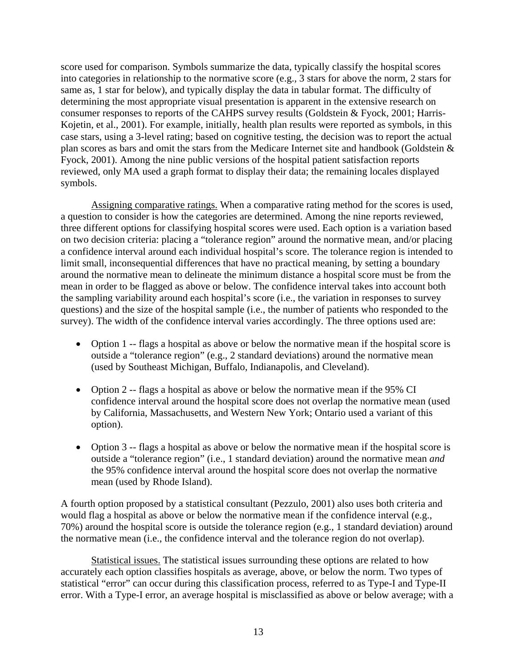score used for comparison. Symbols summarize the data, typically classify the hospital scores into categories in relationship to the normative score (e.g., 3 stars for above the norm, 2 stars for same as, 1 star for below), and typically display the data in tabular format. The difficulty of determining the most appropriate visual presentation is apparent in the extensive research on consumer responses to reports of the CAHPS survey results (Goldstein & Fyock, 2001; Harris-Kojetin, et al., 2001). For example, initially, health plan results were reported as symbols, in this case stars, using a 3-level rating; based on cognitive testing, the decision was to report the actual plan scores as bars and omit the stars from the Medicare Internet site and handbook (Goldstein & Fyock, 2001). Among the nine public versions of the hospital patient satisfaction reports reviewed, only MA used a graph format to display their data; the remaining locales displayed symbols.

Assigning comparative ratings. When a comparative rating method for the scores is used, a question to consider is how the categories are determined. Among the nine reports reviewed, three different options for classifying hospital scores were used. Each option is a variation based on two decision criteria: placing a "tolerance region" around the normative mean, and/or placing a confidence interval around each individual hospital's score. The tolerance region is intended to limit small, inconsequential differences that have no practical meaning, by setting a boundary around the normative mean to delineate the minimum distance a hospital score must be from the mean in order to be flagged as above or below. The confidence interval takes into account both the sampling variability around each hospital's score (i.e., the variation in responses to survey questions) and the size of the hospital sample (i.e., the number of patients who responded to the survey). The width of the confidence interval varies accordingly. The three options used are:

- Option 1 -- flags a hospital as above or below the normative mean if the hospital score is outside a "tolerance region" (e.g., 2 standard deviations) around the normative mean (used by Southeast Michigan, Buffalo, Indianapolis, and Cleveland).
- Option 2 -- flags a hospital as above or below the normative mean if the 95% CI confidence interval around the hospital score does not overlap the normative mean (used by California, Massachusetts, and Western New York; Ontario used a variant of this option).
- Option 3 -- flags a hospital as above or below the normative mean if the hospital score is outside a "tolerance region" (i.e., 1 standard deviation) around the normative mean *and* the 95% confidence interval around the hospital score does not overlap the normative mean (used by Rhode Island).

A fourth option proposed by a statistical consultant (Pezzulo, 2001) also uses both criteria and would flag a hospital as above or below the normative mean if the confidence interval (e.g., 70%) around the hospital score is outside the tolerance region (e.g., 1 standard deviation) around the normative mean (i.e., the confidence interval and the tolerance region do not overlap).

Statistical issues. The statistical issues surrounding these options are related to how accurately each option classifies hospitals as average, above, or below the norm. Two types of statistical "error" can occur during this classification process, referred to as Type-I and Type-II error. With a Type-I error, an average hospital is misclassified as above or below average; with a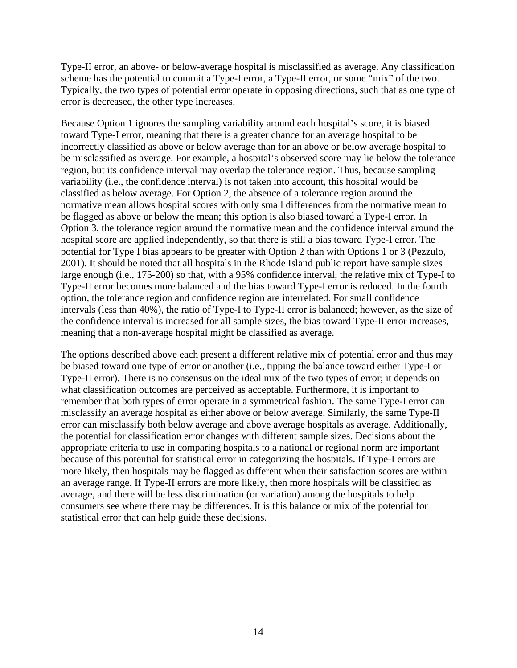Type-II error, an above- or below-average hospital is misclassified as average. Any classification scheme has the potential to commit a Type-I error, a Type-II error, or some "mix" of the two. Typically, the two types of potential error operate in opposing directions, such that as one type of error is decreased, the other type increases.

Because Option 1 ignores the sampling variability around each hospital's score, it is biased toward Type-I error, meaning that there is a greater chance for an average hospital to be incorrectly classified as above or below average than for an above or below average hospital to be misclassified as average. For example, a hospital's observed score may lie below the tolerance region, but its confidence interval may overlap the tolerance region. Thus, because sampling variability (i.e., the confidence interval) is not taken into account, this hospital would be classified as below average. For Option 2, the absence of a tolerance region around the normative mean allows hospital scores with only small differences from the normative mean to be flagged as above or below the mean; this option is also biased toward a Type-I error. In Option 3, the tolerance region around the normative mean and the confidence interval around the hospital score are applied independently, so that there is still a bias toward Type-I error. The potential for Type I bias appears to be greater with Option 2 than with Options 1 or 3 (Pezzulo, 2001). It should be noted that all hospitals in the Rhode Island public report have sample sizes large enough (i.e., 175-200) so that, with a 95% confidence interval, the relative mix of Type-I to Type-II error becomes more balanced and the bias toward Type-I error is reduced. In the fourth option, the tolerance region and confidence region are interrelated. For small confidence intervals (less than 40%), the ratio of Type-I to Type-II error is balanced; however, as the size of the confidence interval is increased for all sample sizes, the bias toward Type-II error increases, meaning that a non-average hospital might be classified as average.

The options described above each present a different relative mix of potential error and thus may be biased toward one type of error or another (i.e., tipping the balance toward either Type-I or Type-II error). There is no consensus on the ideal mix of the two types of error; it depends on what classification outcomes are perceived as acceptable. Furthermore, it is important to remember that both types of error operate in a symmetrical fashion. The same Type-I error can misclassify an average hospital as either above or below average. Similarly, the same Type-II error can misclassify both below average and above average hospitals as average. Additionally, the potential for classification error changes with different sample sizes. Decisions about the appropriate criteria to use in comparing hospitals to a national or regional norm are important because of this potential for statistical error in categorizing the hospitals. If Type-I errors are more likely, then hospitals may be flagged as different when their satisfaction scores are within an average range. If Type-II errors are more likely, then more hospitals will be classified as average, and there will be less discrimination (or variation) among the hospitals to help consumers see where there may be differences. It is this balance or mix of the potential for statistical error that can help guide these decisions.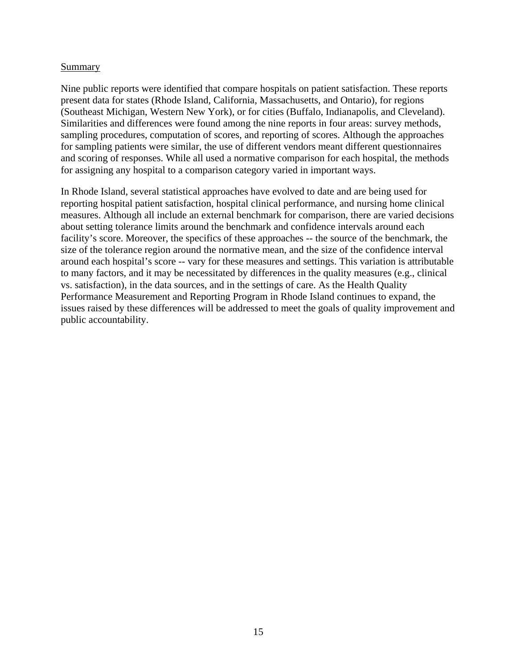#### Summary

Nine public reports were identified that compare hospitals on patient satisfaction. These reports present data for states (Rhode Island, California, Massachusetts, and Ontario), for regions (Southeast Michigan, Western New York), or for cities (Buffalo, Indianapolis, and Cleveland). Similarities and differences were found among the nine reports in four areas: survey methods, sampling procedures, computation of scores, and reporting of scores. Although the approaches for sampling patients were similar, the use of different vendors meant different questionnaires and scoring of responses. While all used a normative comparison for each hospital, the methods for assigning any hospital to a comparison category varied in important ways.

In Rhode Island, several statistical approaches have evolved to date and are being used for reporting hospital patient satisfaction, hospital clinical performance, and nursing home clinical measures. Although all include an external benchmark for comparison, there are varied decisions about setting tolerance limits around the benchmark and confidence intervals around each facility's score. Moreover, the specifics of these approaches -- the source of the benchmark, the size of the tolerance region around the normative mean, and the size of the confidence interval around each hospital's score -- vary for these measures and settings. This variation is attributable to many factors, and it may be necessitated by differences in the quality measures (e.g., clinical vs. satisfaction), in the data sources, and in the settings of care. As the Health Quality Performance Measurement and Reporting Program in Rhode Island continues to expand, the issues raised by these differences will be addressed to meet the goals of quality improvement and public accountability.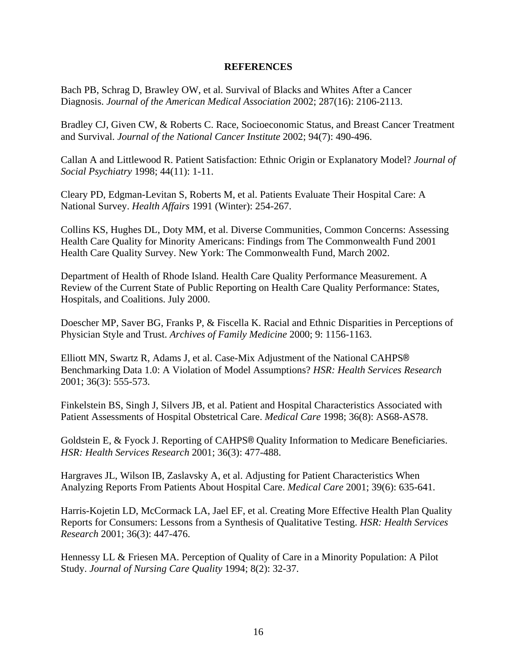#### **REFERENCES**

Bach PB, Schrag D, Brawley OW, et al. Survival of Blacks and Whites After a Cancer Diagnosis. *Journal of the American Medical Association* 2002; 287(16): 2106-2113.

Bradley CJ, Given CW, & Roberts C. Race, Socioeconomic Status, and Breast Cancer Treatment and Survival. *Journal of the National Cancer Institute* 2002; 94(7): 490-496.

Callan A and Littlewood R. Patient Satisfaction: Ethnic Origin or Explanatory Model? *Journal of Social Psychiatry* 1998; 44(11): 1-11.

Cleary PD, Edgman-Levitan S, Roberts M, et al. Patients Evaluate Their Hospital Care: A National Survey. *Health Affairs* 1991 (Winter): 254-267.

Collins KS, Hughes DL, Doty MM, et al. Diverse Communities, Common Concerns: Assessing Health Care Quality for Minority Americans: Findings from The Commonwealth Fund 2001 Health Care Quality Survey. New York: The Commonwealth Fund, March 2002.

Department of Health of Rhode Island. Health Care Quality Performance Measurement. A Review of the Current State of Public Reporting on Health Care Quality Performance: States, Hospitals, and Coalitions. July 2000.

Doescher MP, Saver BG, Franks P, & Fiscella K. Racial and Ethnic Disparities in Perceptions of Physician Style and Trust. *Archives of Family Medicine* 2000; 9: 1156-1163.

Elliott MN, Swartz R, Adams J, et al. Case-Mix Adjustment of the National CAHPS® Benchmarking Data 1.0: A Violation of Model Assumptions? *HSR: Health Services Research* 2001; 36(3): 555-573.

Finkelstein BS, Singh J, Silvers JB, et al. Patient and Hospital Characteristics Associated with Patient Assessments of Hospital Obstetrical Care. *Medical Care* 1998; 36(8): AS68-AS78.

Goldstein E, & Fyock J. Reporting of CAHPS® Quality Information to Medicare Beneficiaries. *HSR: Health Services Research* 2001; 36(3): 477-488.

Hargraves JL, Wilson IB, Zaslavsky A, et al. Adjusting for Patient Characteristics When Analyzing Reports From Patients About Hospital Care. *Medical Care* 2001; 39(6): 635-641.

Harris-Kojetin LD, McCormack LA, Jael EF, et al. Creating More Effective Health Plan Quality Reports for Consumers: Lessons from a Synthesis of Qualitative Testing. *HSR: Health Services Research* 2001; 36(3): 447-476.

Hennessy LL & Friesen MA. Perception of Quality of Care in a Minority Population: A Pilot Study. *Journal of Nursing Care Quality* 1994; 8(2): 32-37.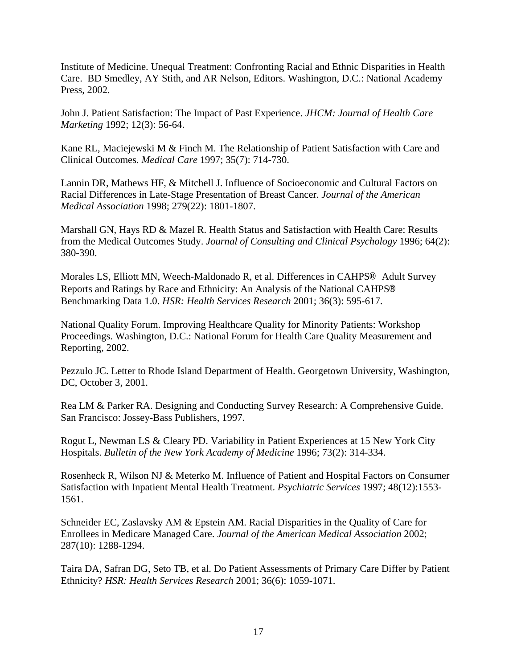Institute of Medicine. Unequal Treatment: Confronting Racial and Ethnic Disparities in Health Care. BD Smedley, AY Stith, and AR Nelson, Editors. Washington, D.C.: National Academy Press, 2002.

John J. Patient Satisfaction: The Impact of Past Experience. *JHCM: Journal of Health Care Marketing* 1992; 12(3): 56-64.

Kane RL, Maciejewski M & Finch M. The Relationship of Patient Satisfaction with Care and Clinical Outcomes. *Medical Care* 1997; 35(7): 714-730.

Lannin DR, Mathews HF, & Mitchell J. Influence of Socioeconomic and Cultural Factors on Racial Differences in Late-Stage Presentation of Breast Cancer. *Journal of the American Medical Association* 1998; 279(22): 1801-1807.

Marshall GN, Hays RD & Mazel R. Health Status and Satisfaction with Health Care: Results from the Medical Outcomes Study. *Journal of Consulting and Clinical Psychology* 1996; 64(2): 380-390.

Morales LS, Elliott MN, Weech-Maldonado R, et al. Differences in CAHPS® Adult Survey Reports and Ratings by Race and Ethnicity: An Analysis of the National CAHPS® Benchmarking Data 1.0. *HSR: Health Services Research* 2001; 36(3): 595-617.

National Quality Forum. Improving Healthcare Quality for Minority Patients: Workshop Proceedings. Washington, D.C.: National Forum for Health Care Quality Measurement and Reporting, 2002.

Pezzulo JC. Letter to Rhode Island Department of Health. Georgetown University, Washington, DC, October 3, 2001.

Rea LM & Parker RA. Designing and Conducting Survey Research: A Comprehensive Guide. San Francisco: Jossey-Bass Publishers, 1997.

Rogut L, Newman LS & Cleary PD. Variability in Patient Experiences at 15 New York City Hospitals. *Bulletin of the New York Academy of Medicine* 1996; 73(2): 314-334.

Rosenheck R, Wilson NJ & Meterko M. Influence of Patient and Hospital Factors on Consumer Satisfaction with Inpatient Mental Health Treatment. *Psychiatric Services* 1997; 48(12):1553- 1561.

Schneider EC, Zaslavsky AM & Epstein AM. Racial Disparities in the Quality of Care for Enrollees in Medicare Managed Care. *Journal of the American Medical Association* 2002; 287(10): 1288-1294.

Taira DA, Safran DG, Seto TB, et al. Do Patient Assessments of Primary Care Differ by Patient Ethnicity? *HSR: Health Services Research* 2001; 36(6): 1059-1071.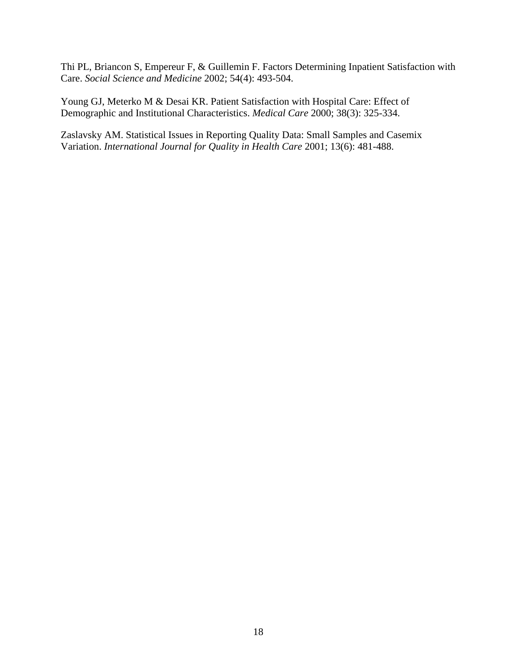Thi PL, Briancon S, Empereur F, & Guillemin F. Factors Determining Inpatient Satisfaction with Care. *Social Science and Medicine* 2002; 54(4): 493-504.

Young GJ, Meterko M & Desai KR. Patient Satisfaction with Hospital Care: Effect of Demographic and Institutional Characteristics. *Medical Care* 2000; 38(3): 325-334.

Zaslavsky AM. Statistical Issues in Reporting Quality Data: Small Samples and Casemix Variation. *International Journal for Quality in Health Care* 2001; 13(6): 481-488.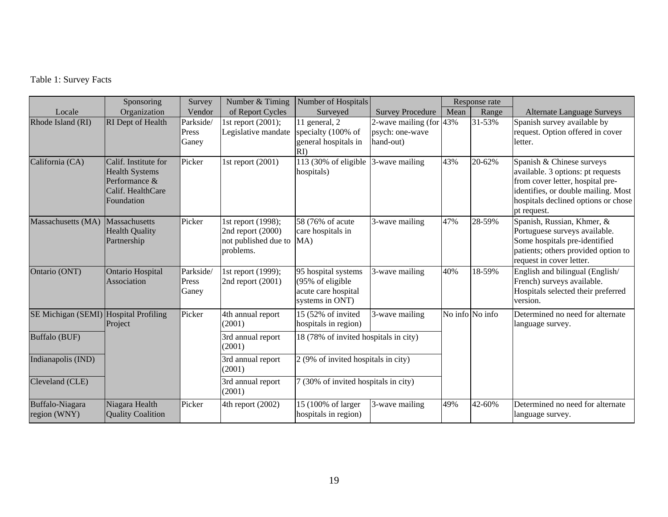# Table 1: Survey Facts

|                                       | Sponsoring                                                                                        | Survey                      | Number & Timing                                                                  | Number of Hospitals                                                               |                                                            | Response rate |                 |                                                                                                                                                                                                 |
|---------------------------------------|---------------------------------------------------------------------------------------------------|-----------------------------|----------------------------------------------------------------------------------|-----------------------------------------------------------------------------------|------------------------------------------------------------|---------------|-----------------|-------------------------------------------------------------------------------------------------------------------------------------------------------------------------------------------------|
| Locale                                | Organization                                                                                      | Vendor                      | of Report Cycles                                                                 | Surveyed                                                                          | <b>Survey Procedure</b>                                    | Mean          | Range           | <b>Alternate Language Surveys</b>                                                                                                                                                               |
| Rhode Island (RI)                     | RI Dept of Health                                                                                 | Parkside/<br>Press<br>Ganey | 1st report $(2001)$ ;<br>Legislative mandate                                     | 11 general, 2<br>specialty (100% of<br>general hospitals in<br>$\rm{R}$ I)        | 2-wave mailing (for $43\%$<br>psych: one-wave<br>hand-out) |               | $31 - 53%$      | Spanish survey available by<br>request. Option offered in cover<br>letter.                                                                                                                      |
| California (CA)                       | Calif. Institute for<br><b>Health Systems</b><br>Performance &<br>Calif. HealthCare<br>Foundation | Picker                      | 1st report (2001)                                                                | 113 (30% of eligible<br>hospitals)                                                | 3-wave mailing                                             | 43%           | 20-62%          | Spanish & Chinese surveys<br>available. 3 options: pt requests<br>from cover letter, hospital pre-<br>identifies, or double mailing. Most<br>hospitals declined options or chose<br>pt request. |
| Massachusetts (MA)                    | Massachusetts<br><b>Health Quality</b><br>Partnership                                             | Picker                      | 1st report (1998);<br>2nd report (2000)<br>not published due to MA)<br>problems. | 58 (76% of acute<br>care hospitals in                                             | 3-wave mailing                                             | 47%           | 28-59%          | Spanish, Russian, Khmer, &<br>Portuguese surveys available.<br>Some hospitals pre-identified<br>patients; others provided option to<br>request in cover letter.                                 |
| Ontario (ONT)                         | Ontario Hospital<br>Association                                                                   | Parkside/<br>Press<br>Ganey | 1st report (1999);<br>2nd report (2001)                                          | 95 hospital systems<br>(95% of eligible<br>acute care hospital<br>systems in ONT) | 3-wave mailing                                             | 40%           | 18-59%          | English and bilingual (English/<br>French) surveys available.<br>Hospitals selected their preferred<br>version.                                                                                 |
| SE Michigan (SEMI) Hospital Profiling | Project                                                                                           | Picker                      | 4th annual report<br>(2001)                                                      | 15 (52% of invited<br>hospitals in region)                                        | 3-wave mailing                                             |               | No info No info | Determined no need for alternate<br>language survey.                                                                                                                                            |
| Buffalo (BUF)                         |                                                                                                   |                             | 3rd annual report<br>(2001)                                                      | 18 (78% of invited hospitals in city)                                             |                                                            |               |                 |                                                                                                                                                                                                 |
| Indianapolis (IND)                    |                                                                                                   |                             | 3rd annual report<br>(2001)                                                      | 2 (9% of invited hospitals in city)                                               |                                                            |               |                 |                                                                                                                                                                                                 |
| Cleveland (CLE)                       |                                                                                                   |                             | 3rd annual report<br>(2001)                                                      | 7 (30% of invited hospitals in city)                                              |                                                            |               |                 |                                                                                                                                                                                                 |
| Buffalo-Niagara<br>region (WNY)       | Niagara Health<br><b>Quality Coalition</b>                                                        | Picker                      | 4th report (2002)                                                                | 15 (100% of larger<br>hospitals in region)                                        | 3-wave mailing                                             | 49%           | 42-60%          | Determined no need for alternate<br>language survey.                                                                                                                                            |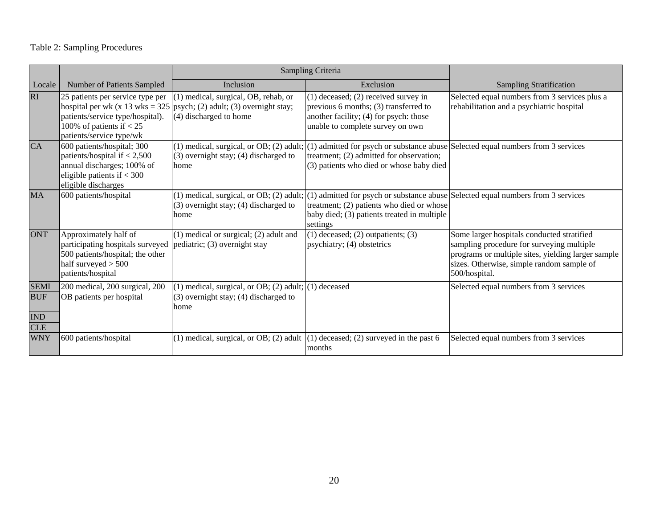# Table 2: Sampling Procedures

|                                                |                                                                                                                                                                       | Sampling Criteria                                                                                            |                                                                                                                                                                                                                                      |                                                                                                                                                                                                             |
|------------------------------------------------|-----------------------------------------------------------------------------------------------------------------------------------------------------------------------|--------------------------------------------------------------------------------------------------------------|--------------------------------------------------------------------------------------------------------------------------------------------------------------------------------------------------------------------------------------|-------------------------------------------------------------------------------------------------------------------------------------------------------------------------------------------------------------|
| Locale                                         | Number of Patients Sampled                                                                                                                                            | Inclusion                                                                                                    | Exclusion                                                                                                                                                                                                                            | <b>Sampling Stratification</b>                                                                                                                                                                              |
| RI                                             | 25 patients per service type per<br>hospital per wk (x 13 wks = $325$ )<br>patients/service type/hospital).<br>100% of patients if $< 25$<br>patients/service type/wk | (1) medical, surgical, OB, rehab, or<br>psych; (2) adult; (3) overnight stay;<br>(4) discharged to home      | $(1)$ deceased; $(2)$ received survey in<br>previous 6 months; (3) transferred to<br>another facility; (4) for psych: those<br>unable to complete survey on own                                                                      | Selected equal numbers from 3 services plus a<br>rehabilitation and a psychiatric hospital                                                                                                                  |
| <b>CA</b>                                      | 600 patients/hospital; 300<br>patients/hospital if $< 2,500$<br>annual discharges; 100% of<br>eligible patients if $<$ 300<br>eligible discharges                     | $(3)$ overnight stay; $(4)$ discharged to<br>home                                                            | (1) medical, surgical, or OB; (2) adult; (1) admitted for psych or substance abuse Selected equal numbers from 3 services<br>treatment; (2) admitted for observation;<br>(3) patients who died or whose baby died                    |                                                                                                                                                                                                             |
| <b>MA</b>                                      | 600 patients/hospital                                                                                                                                                 | $(3)$ overnight stay; $(4)$ discharged to<br>home                                                            | (1) medical, surgical, or OB; (2) adult; $ (1)$ admitted for psych or substance abuse Selected equal numbers from 3 services<br>treatment; (2) patients who died or whose<br>baby died; (3) patients treated in multiple<br>settings |                                                                                                                                                                                                             |
| <b>ONT</b>                                     | Approximately half of<br>participating hospitals surveyed<br>500 patients/hospital; the other<br>half surveyed $> 500$<br>patients/hospital                           | $(1)$ medical or surgical; $(2)$ adult and<br>pediatric; (3) overnight stay                                  | $(1)$ deceased; $(2)$ outpatients; $(3)$<br>psychiatry; (4) obstetrics                                                                                                                                                               | Some larger hospitals conducted stratified<br>sampling procedure for surveying multiple<br>programs or multiple sites, yielding larger sample<br>sizes. Otherwise, simple random sample of<br>500/hospital. |
| <b>SEMI</b><br><b>BUF</b><br>IND<br><b>CLE</b> | 200 medical, 200 surgical, 200<br>OB patients per hospital                                                                                                            | (1) medical, surgical, or OB; (2) adult; $(1)$ deceased<br>$(3)$ overnight stay; $(4)$ discharged to<br>home |                                                                                                                                                                                                                                      | Selected equal numbers from 3 services                                                                                                                                                                      |
| <b>WNY</b>                                     | 600 patients/hospital                                                                                                                                                 |                                                                                                              | (1) medical, surgical, or OB; (2) adult $(1)$ deceased; (2) surveyed in the past 6<br>months                                                                                                                                         | Selected equal numbers from 3 services                                                                                                                                                                      |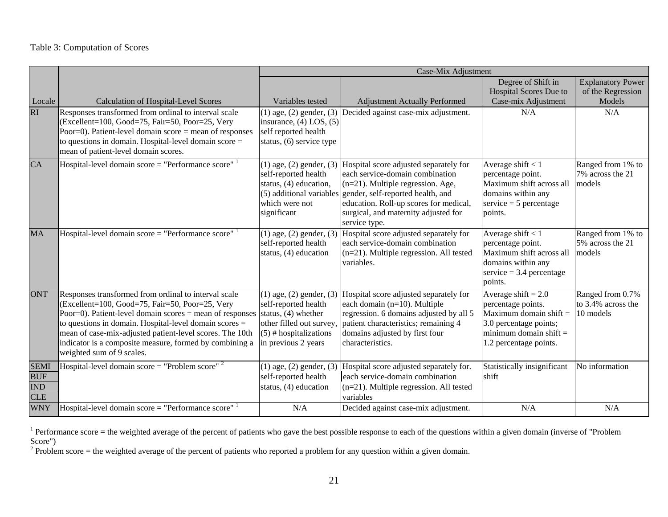## Table 3: Computation of Scores

|                                                       |                                                                                                                                                                                                                                                                                                                                                                                     | Case-Mix Adjustment                                                                                                                                          |                                                                                                                                                                                                                                                                                    |                                                                                                                                                         |                                                     |  |
|-------------------------------------------------------|-------------------------------------------------------------------------------------------------------------------------------------------------------------------------------------------------------------------------------------------------------------------------------------------------------------------------------------------------------------------------------------|--------------------------------------------------------------------------------------------------------------------------------------------------------------|------------------------------------------------------------------------------------------------------------------------------------------------------------------------------------------------------------------------------------------------------------------------------------|---------------------------------------------------------------------------------------------------------------------------------------------------------|-----------------------------------------------------|--|
|                                                       |                                                                                                                                                                                                                                                                                                                                                                                     |                                                                                                                                                              |                                                                                                                                                                                                                                                                                    | Degree of Shift in<br>Hospital Scores Due to                                                                                                            | <b>Explanatory Power</b><br>of the Regression       |  |
| Locale                                                | <b>Calculation of Hospital-Level Scores</b>                                                                                                                                                                                                                                                                                                                                         | Variables tested                                                                                                                                             | <b>Adjustment Actually Performed</b>                                                                                                                                                                                                                                               | Case-mix Adjustment                                                                                                                                     | Models                                              |  |
| <b>RI</b>                                             | Responses transformed from ordinal to interval scale<br>(Excellent=100, Good=75, Fair=50, Poor=25, Very<br>Poor=0). Patient-level domain score = mean of responses<br>to questions in domain. Hospital-level domain $score =$<br>mean of patient-level domain scores.                                                                                                               | $(1)$ age, $(2)$ gender, $(3)$<br>insurance, $(4)$ LOS, $(5)$<br>self reported health<br>status, (6) service type                                            | Decided against case-mix adjustment.                                                                                                                                                                                                                                               | N/A                                                                                                                                                     | N/A                                                 |  |
| CA                                                    | Hospital-level domain score = "Performance score" $1$                                                                                                                                                                                                                                                                                                                               | $(1)$ age, $(2)$ gender, $(3)$<br>self-reported health<br>status, (4) education,<br>which were not<br>significant                                            | Hospital score adjusted separately for<br>each service-domain combination<br>$(n=21)$ . Multiple regression. Age,<br>(5) additional variables gender, self-reported health, and<br>education. Roll-up scores for medical,<br>surgical, and maternity adjusted for<br>service type. | Average shift $<$ 1<br>percentage point.<br>Maximum shift across all<br>domains within any<br>service $=$ 5 percentage<br>points.                       | Ranged from 1% to<br>7% across the 21<br>models     |  |
| <b>MA</b>                                             | Hospital-level domain $score = "Performance score"$                                                                                                                                                                                                                                                                                                                                 | $\overline{(1) \text{ age}, (2) \text{ gender}, (3)}$<br>self-reported health<br>status, $(4)$ education                                                     | Hospital score adjusted separately for<br>each service-domain combination<br>$(n=21)$ . Multiple regression. All tested<br>variables.                                                                                                                                              | Average shift $< 1$<br>percentage point.<br>Maximum shift across all<br>domains within any<br>$s$ ervice = 3.4 percentage<br>points.                    | Ranged from 1% to<br>5% across the 21<br>models     |  |
| <b>ONT</b>                                            | Responses transformed from ordinal to interval scale<br>(Excellent=100, Good=75, Fair=50, Poor=25, Very<br>Poor=0). Patient-level domain scores $=$ mean of responses<br>to questions in domain. Hospital-level domain scores =<br>mean of case-mix-adjusted patient-level scores. The 10th<br>indicator is a composite measure, formed by combining a<br>weighted sum of 9 scales. | $(1)$ age, $(2)$ gender, $(3)$<br>self-reported health<br>status, $(4)$ whether<br>other filled out survey,<br>(5) # hospitalizations<br>in previous 2 years | Hospital score adjusted separately for<br>each domain (n=10). Multiple<br>regression. 6 domains adjusted by all 5<br>patient characteristics; remaining 4<br>domains adjusted by first four<br>characteristics.                                                                    | Average shift $= 2.0$<br>percentage points.<br>Maximum domain shift $=$<br>3.0 percentage points;<br>minimum domain shift $=$<br>1.2 percentage points. | Ranged from 0.7%<br>to 3.4% across the<br>10 models |  |
| <b>SEMI</b><br><b>BUF</b><br><b>IND</b><br><b>CLE</b> | Hospital-level domain score = "Problem score" $2$                                                                                                                                                                                                                                                                                                                                   | $(1)$ age, $(2)$ gender, $(3)$<br>self-reported health<br>status, (4) education                                                                              | Hospital score adjusted separately for.<br>each service-domain combination<br>$(n=21)$ . Multiple regression. All tested<br>variables                                                                                                                                              | Statistically insignificant<br>shift                                                                                                                    | No information                                      |  |
| <b>WNY</b>                                            | Hospital-level domain score = "Performance score" $1$                                                                                                                                                                                                                                                                                                                               | N/A                                                                                                                                                          | Decided against case-mix adjustment.                                                                                                                                                                                                                                               | N/A                                                                                                                                                     | N/A                                                 |  |

<sup>1</sup> Performance score = the weighted average of the percent of patients who gave the best possible response to each of the questions within a given domain (inverse of "Problem") Score")

 $2^2$  Problem score = the weighted average of the percent of patients who reported a problem for any question within a given domain.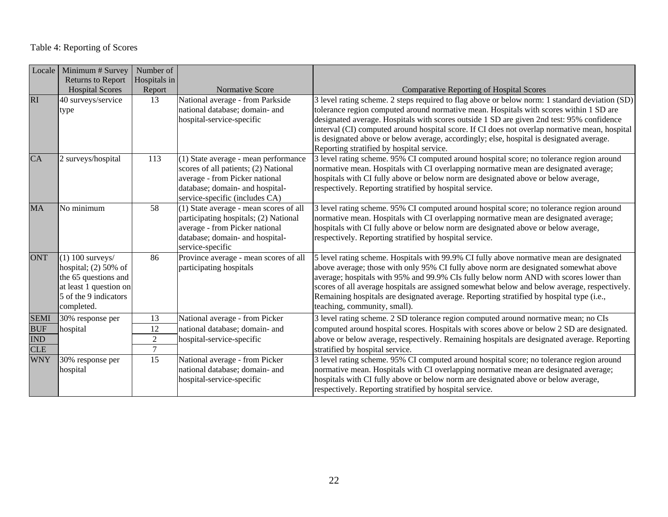| Locale      | Minimum # Survey                                                                                                                      | Number of      |                                                                                                                                                                                     |                                                                                                                                                                                                                                                                                                                                                                                                                                                                                                                                 |
|-------------|---------------------------------------------------------------------------------------------------------------------------------------|----------------|-------------------------------------------------------------------------------------------------------------------------------------------------------------------------------------|---------------------------------------------------------------------------------------------------------------------------------------------------------------------------------------------------------------------------------------------------------------------------------------------------------------------------------------------------------------------------------------------------------------------------------------------------------------------------------------------------------------------------------|
|             | <b>Returns to Report</b>                                                                                                              | Hospitals in   |                                                                                                                                                                                     |                                                                                                                                                                                                                                                                                                                                                                                                                                                                                                                                 |
|             | <b>Hospital Scores</b>                                                                                                                | Report         | Normative Score                                                                                                                                                                     | <b>Comparative Reporting of Hospital Scores</b>                                                                                                                                                                                                                                                                                                                                                                                                                                                                                 |
| <b>RI</b>   | 40 surveys/service<br>type                                                                                                            | 13             | National average - from Parkside<br>national database; domain- and<br>hospital-service-specific                                                                                     | 3 level rating scheme. 2 steps required to flag above or below norm: 1 standard deviation (SD)<br>tolerance region computed around normative mean. Hospitals with scores within 1 SD are<br>designated average. Hospitals with scores outside 1 SD are given 2nd test: 95% confidence<br>interval (CI) computed around hospital score. If CI does not overlap normative mean, hospital<br>is designated above or below average, accordingly; else, hospital is designated average.<br>Reporting stratified by hospital service. |
| <b>CA</b>   | 2 surveys/hospital                                                                                                                    | 113            | (1) State average - mean performance<br>scores of all patients; (2) National<br>average - from Picker national<br>database; domain- and hospital-<br>service-specific (includes CA) | 3 level rating scheme. 95% CI computed around hospital score; no tolerance region around<br>normative mean. Hospitals with CI overlapping normative mean are designated average;<br>hospitals with CI fully above or below norm are designated above or below average,<br>respectively. Reporting stratified by hospital service.                                                                                                                                                                                               |
| <b>MA</b>   | No minimum                                                                                                                            | 58             | (1) State average - mean scores of all<br>participating hospitals; (2) National<br>average - from Picker national<br>database; domain- and hospital-<br>service-specific            | 3 level rating scheme. 95% CI computed around hospital score; no tolerance region around<br>normative mean. Hospitals with CI overlapping normative mean are designated average;<br>hospitals with CI fully above or below norm are designated above or below average,<br>respectively. Reporting stratified by hospital service.                                                                                                                                                                                               |
| <b>ONT</b>  | $(1)$ 100 surveys/<br>hospital; $(2)$ 50% of<br>the 65 questions and<br>at least 1 question on<br>5 of the 9 indicators<br>completed. | 86             | Province average - mean scores of all<br>participating hospitals                                                                                                                    | 5 level rating scheme. Hospitals with 99.9% CI fully above normative mean are designated<br>above average; those with only 95% CI fully above norm are designated somewhat above<br>average; hospitals with 95% and 99.9% CIs fully below norm AND with scores lower than<br>scores of all average hospitals are assigned somewhat below and below average, respectively.<br>Remaining hospitals are designated average. Reporting stratified by hospital type (i.e.,<br>teaching, community, small).                           |
| <b>SEMI</b> | 30% response per                                                                                                                      | 13             | National average - from Picker                                                                                                                                                      | 3 level rating scheme. 2 SD tolerance region computed around normative mean; no CIs                                                                                                                                                                                                                                                                                                                                                                                                                                             |
| <b>BUF</b>  | hospital                                                                                                                              | 12             | national database; domain- and                                                                                                                                                      | computed around hospital scores. Hospitals with scores above or below 2 SD are designated.                                                                                                                                                                                                                                                                                                                                                                                                                                      |
| <b>IND</b>  |                                                                                                                                       | $\sqrt{2}$     | hospital-service-specific                                                                                                                                                           | above or below average, respectively. Remaining hospitals are designated average. Reporting                                                                                                                                                                                                                                                                                                                                                                                                                                     |
| <b>CLE</b>  |                                                                                                                                       | $\overline{7}$ |                                                                                                                                                                                     | stratified by hospital service.                                                                                                                                                                                                                                                                                                                                                                                                                                                                                                 |
| <b>WNY</b>  | 30% response per<br>hospital                                                                                                          | 15             | National average - from Picker<br>national database; domain- and<br>hospital-service-specific                                                                                       | 3 level rating scheme. 95% CI computed around hospital score; no tolerance region around<br>normative mean. Hospitals with CI overlapping normative mean are designated average;<br>hospitals with CI fully above or below norm are designated above or below average,<br>respectively. Reporting stratified by hospital service.                                                                                                                                                                                               |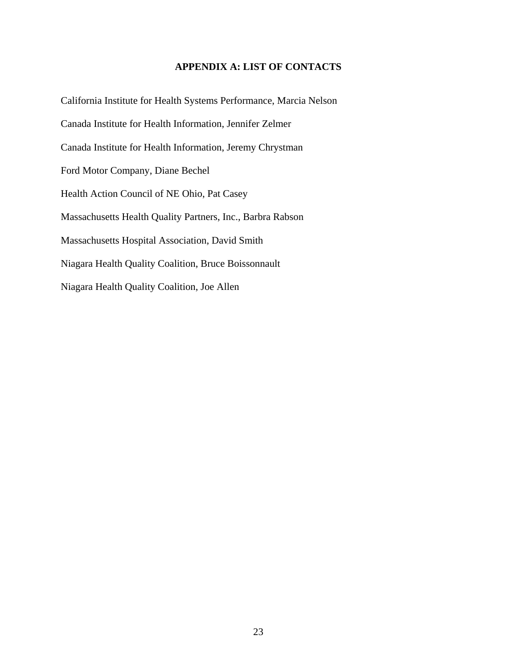# **APPENDIX A: LIST OF CONTACTS**

California Institute for Health Systems Performance, Marcia Nelson Canada Institute for Health Information, Jennifer Zelmer Canada Institute for Health Information, Jeremy Chrystman Ford Motor Company, Diane Bechel Health Action Council of NE Ohio, Pat Casey Massachusetts Health Quality Partners, Inc., Barbra Rabson Massachusetts Hospital Association, David Smith Niagara Health Quality Coalition, Bruce Boissonnault Niagara Health Quality Coalition, Joe Allen